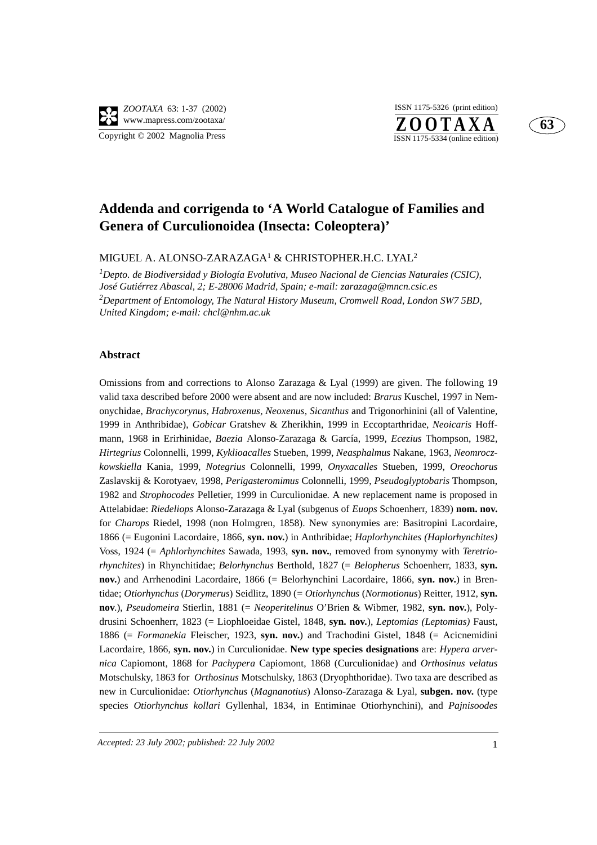## **63**

## **Addenda and corrigenda to 'A World Catalogue of Families and Genera of Curculionoidea (Insecta: Coleoptera)'**

MIGUEL A. ALONSO-ZARAZAGA1 & CHRISTOPHER.H.C. LYAL2

*1 Depto. de Biodiversidad y Biología Evolutiva, Museo Nacional de Ciencias Naturales (CSIC), José Gutiérrez Abascal, 2; E-28006 Madrid, Spain; e-mail: zarazaga@mncn.csic.es 2 Department of Entomology, The Natural History Museum, Cromwell Road, London SW7 5BD, United Kingdom; e-mail: chcl@nhm.ac.uk*

## **Abstract**

Omissions from and corrections to Alonso Zarazaga & Lyal (1999) are given. The following 19 valid taxa described before 2000 were absent and are now included: *Brarus* Kuschel, 1997 in Nemonychidae, *Brachycorynus*, *Habroxenus, Neoxenus, Sicanthus* and Trigonorhinini (all of Valentine, 1999 in Anthribidae), *Gobicar* Gratshev & Zherikhin, 1999 in Eccoptarthridae, *Neoicaris* Hoffmann, 1968 in Erirhinidae, *Baezia* Alonso-Zarazaga & García, 1999, *Ecezius* Thompson, 1982, *Hirtegrius* Colonnelli, 1999, *Kyklioacalles* Stueben, 1999, *Neasphalmus* Nakane, 1963, *Neomroczkowskiella* Kania, 1999, *Notegrius* Colonnelli, 1999, *Onyxacalles* Stueben, 1999, *Oreochorus* Zaslavskij & Korotyaev, 1998, *Perigasteromimus* Colonnelli, 1999, *Pseudoglyptobaris* Thompson, 1982 and *Strophocodes* Pelletier, 1999 in Curculionidae. A new replacement name is proposed in Attelabidae: *Riedeliops* Alonso-Zarazaga & Lyal (subgenus of *Euops* Schoenherr, 1839) **nom. nov.** for *Charops* Riedel, 1998 (non Holmgren, 1858). New synonymies are: Basitropini Lacordaire, 1866 (= Eugonini Lacordaire, 1866, **syn. nov.**) in Anthribidae; *Haplorhynchites (Haplorhynchites)* Voss, 1924 (= *Aphlorhynchites* Sawada, 1993, **syn. nov.**, removed from synonymy with *Teretriorhynchites*) in Rhynchitidae; *Belorhynchus* Berthold, 1827 (= *Belopherus* Schoenherr, 1833, **syn. nov.**) and Arrhenodini Lacordaire, 1866 (= Belorhynchini Lacordaire, 1866, **syn. nov.**) in Brentidae; *Otiorhynchus* (*Dorymerus*) Seidlitz, 1890 (= *Otiorhynchus* (*Normotionus*) Reitter, 1912, **syn. nov**.), *Pseudomeira* Stierlin, 1881 (= *Neoperitelinus* O'Brien & Wibmer, 1982, **syn. nov.**), Polydrusini Schoenherr, 1823 (= Liophloeidae Gistel, 1848, **syn. nov.**), *Leptomias (Leptomias)* Faust, 1886 (= *Formanekia* Fleischer, 1923, **syn. nov.**) and Trachodini Gistel, 1848 (= Acicnemidini Lacordaire, 1866, **syn. nov.**) in Curculionidae. **New type species designations** are: *Hypera arvernica* Capiomont, 1868 for *Pachypera* Capiomont, 1868 (Curculionidae) and *Orthosinus velatus* Motschulsky, 1863 for *Orthosinus* Motschulsky, 1863 (Dryophthoridae). Two taxa are described as new in Curculionidae: *Otiorhynchus* (*Magnanotius*) Alonso-Zarazaga & Lyal, **subgen. nov.** (type species *Otiorhynchus kollari* Gyllenhal, 1834, in Entiminae Otiorhynchini), and *Pajnisoodes*